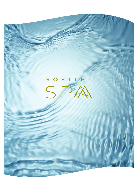# SOFITEL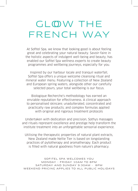# GLOW THE FRENCH WAY

At Sofitel Spa, we know that looking good is about feeling great and celebrating your natural beauty. Savoir-faire in the holistic aspects of indulgent well-being and beauty, has enabled our Sofitel Spa wellness experts to create beauty programmes and wellbeing journeys, especially for you.

Inspired by our harbour locale and tranquil waterfall, Sofitel Spa offers a unique welcome cleansing ritual and mineral water menu. Featuring a collection of New Zealand and European spring waters, alongside other our carefully selected pours, your total wellbeing is our focus.

Biologique Recherche's methodology has earned an enviable reputation for effectiveness. A clinical approach to personalised skincare; unadulterated, concentrated and practically raw products; and complex formulas applied with original and rigorous treatment protocols

Undertaken with dedication and precision, Sothys massages and rituals represent excellence and prestige help transform the institute treatment into an unforgettable sensorial experience.

Utilising the therapeutic properties of natural plant extracts, New Zealand made Nellie Tier is based on longstanding practices of pytotherapy and aromatherapy. Each product is filled with natural goodness from nature's pharmacy.

SOFITEL SPA WELCOMES YOU MONDAY - FRIDAY 10AM TO 8PM SATURDAY AND SUNDAY 9:30AM - 8PM WEEKEND PRICING APPLIES TO ALL PUBLIC HOLIDAYS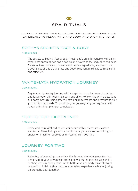

# SPA RITUALS

CHOOSE TO BEGIN YOUR RITUAL WITH A SAUNA OR STEAM ROOM EXPERIENCE TO RELAX MIND AND BODY, AND OPEN THE PORES.

### SOTHYS SECRETS FACE & BODY

### 150 minutes

The Secrets de Sothys® Face & Body Treatment is an unforgettable well-being experience spanning two and a half hours devoted to the body, face and mind. Eleven unique formulas, concentrated in active ingredients, are used in the eleven steps of this elegant face and body treatment making it both sensorial and effective.

# WAITEMATA HYDRATION JOURNEY

### 120 minutes

Begin your hydrating journey with a sugar scrub to increase circulation and leave your skin feeling smooth and silky. Follow this with a decadent full body massage using graceful stroking movements and pressure to suit your individual needs. To conclude your journey a hydrating facial will reveal a brighter, plumper complexion.

# 'TOP TO TOE' EXPERIENCE

### 150 minutes

Relax and be revitalized as you enjoy our Sothys signature massage and facial. Then, indulge with a manicure or pedicure served with your choice of a glass of bubbles or refreshing fruit cocktail.

### JOURNEY FOR TWO

### 150 minutes

Relaxing, rejuvenating, romantic - this is complete indulgence for two. Immersed in your private spa suite, enjoy a 60 minute massage and a healing Manuka honey facial while both mind and body sink into total relaxation. Finish with a toast to a decadent experience while enjoying an aromatic bath together.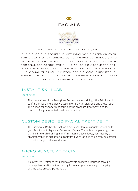# $\infty$

### FACIALS



### EXCLUSIVE NEW ZEALAND STOCKIST

THE BIOLOGIQUE RECHERCHE METHODOLOGY IS BASED ON OVER FORTY YEARS OF EXPERIENCE USING INNOVATIVE PRODUCTS AND METICULOUS PROTOCOLS. SKIN CARE IS PROVIDED FOLLOWING A PERSONAL DERMOCOSMETIC SKIN DIAGNOSIS (SUITABLE FOR BOTH MEN AND WOMEN) USING A SKIN INSTANT© ANALYSIS FOR EACH INDIVIDUAL . THE HIGHLY CUSTOMISED BIOLOGIQUE RECHERCHE APPROACH MEANS TREATMENTS WILL PROVIDE YOU WITH A TRULY BESPOKE APPROACH TO SKIN CARE.

# INSTANT SKIN LAB

### 20 minutes

The cornerstone of the Biologique Recherche methodology, the Skin Instant Lab<sup>®</sup> is a unique and exclusive system of analysis, diagnosis and prescription. This allows for dynamic monitoring of the proposed treatments and the creation of a goal-oriented treatment schedule.

### CUSTOM DESIGNED FACIAL TREATMENT

The Biologique Recherche method treats each skin individually according to your Skin Instant diagnosis. Our expert Dermal Therapists complete rigorous training in French draining and lifting massage techniques, designed by a physiotherapist to sculpt facial contours. Every facial is completely customised to treat a range of skin conditions.

### MICRO PUNCTURE FACIAL

### 60 minutes

An intensive treatment designed to activate collagen production through intra-epidermal stimulation, helping to combat premature signs of ageing and increase product penetration.  $\overline{a}$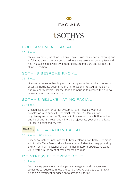

# FACIALS

# FUNDAMENTAL FACIAL

### 60 minutes

This rejuvenating facial focuses on complete skin maintenance, cleaning and exfoliating the skin with a prescribed intensive serum. A soothing face and neck massage is followed by a mask to restore moisture and further the skin's protection.

### SOTHYS BESPOKE FACIAL

### 75 minutes

Uncover a powerful healing and hydrating experience which deposits essential nutrients deep in your skin to assist in restoring the skin's natural energy levels. Cleanse, tone and nourish to awaken the skin to reveal a luminous complexion.

### SOTHY'S REJUVENATING FACIAL

### 60 minutes

Created especially for Sofitel by Sothys Paris. Reveal a youthful complexion with our exclusive facial that utilises Vitamin C for brightening and a unique Glysalac acid to even skin tone. Both effective and indulgent this treatment will visibly rejuvenate your skin and leave you feeling calm and revived.

# **RELIE TIER** RELAXATION FACIAL

### 30 minutes or 60 minutes

Experience nature's pharmacy with New Zealand's own Nellie Tier brand. All of Nellie Tier's face products have a base of Manuka honey providing the skin with anti-bacterial and anti-inflammatory properties. Relax as you breathe in the scent of frankincense and rose.

# DE-STRESS EYE TREATMENT

### 20 minutes

Cold healing greenstones and a gentle massage around the eyes are combined to reduce puffiness and dark circles. A bite size treat that can be its own treatment or added on to any of our facials.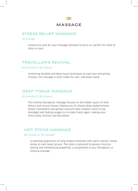# ത

# MASSAGE

### STRESS RELIEF MASSAGE

30 minutes

Choose one area for your massage therapist to focus on, perfect for relief of stress or pain.

# TRAVELLER'S REVIVAL

### 60 minutes or 90 minutes

Combining Swedish and deep tissue techniques to ease sore and aching muscles, this massage is tailor-made for your individual needs.

# DEEP TISSUE MASSAGE

### 60 minutes or 90 minutes

This intense therapeutic massage focuses on the hidden layers of both fibrous and muscle tissues, helping you to release deep-seated tension. Slower movements and greater pressure help stubborn toxins to be dislodged and healing oxygen to circulate freely again, making your entire body function and feel better.

# HOT STONE MASSAGE

### 60 minutes or 90 minutes

A soothing progression of long strokes combined with warm volcanic basalt stones to melt away tension. The stone is believed to possess intuitive healing and harmonising properties, a complement to any therapeutic or relaxing massage.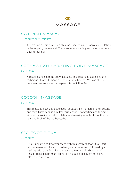

# SWEDISH MASSAGE

### 60 minutes or 90 minutes

Addressing specific muscles, this massage helps to improve circulation, relieves pain, prevents stiffness, reduces swelling and returns muscles back to normal.

# SOTHY'S EXHILARATING BODY MASSAGE

### 60 minutes

A relaxing and soothing body massage, this treatment uses signature techniques that will shape and tone your silhouette. You can choose between two exclusive massage oils from Sothys Paris.

# COCOON MASSAGE

### 60 minutes

This massage, specially developed for expectant mothers in their second and third trimesters, is simultaneously gentle, comforting and toning. It aims at improving blood circulation and relaxing muscles to soothe the legs and back of the mother-to-be.

### SPA FOOT RITUAL

### 60 minutes

Relax, indulge, and treat your feet with this soothing foot ritual. Start with an essential oil soak to instantly calm the senses, followed by a luscious salt scrub for silky soft legs and feet and finishing off with tension-releasing pressure point foot massage to leave you feeling relaxed and renewed.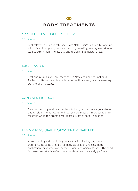

# BODY TREATMENTS

### SMOOTHING BODY GLOW

### 30 minutes

Feel relaxed, as skin is refreshed with Nellie Tier's Salt Scrub, combined with olive oil to gently nourish the skin, revealing healthy new skin as well as strengthening elasticity and replenishing moisture loss.

### MUD WRAP

### 30 minutes

Rest and relax as you are cocooned in New Zealand thermal mud. Perfect on its own and in combination with a scrub, or as a warming start to any massage.

# AROMATIC BATH

### 30 minutes

Cleanse the body and balance the mind as you soak away your stress and tension. The hot water will loosen sore muscles in preparation for massage while the aroma encourages a state of total relaxation.

# HANAKASUMI BODY TREATMENT

### 60 minutes

A re-balancing and nourishing body ritual inspired by Japanese traditions. Including a gentle full body exfoliation and shea butter application using scents of cherry blossom and Asian essences. The mind is cleared and skin is softer, more nourished and delicately perfumed.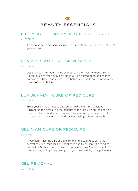

# BEAUTY ESSENTIALS

### FILE AND POLISH MANICURE OR PEDICURE

### 20 minutes

An express nail treatment, including a file, buff and polish in the colour of your choice.

### CLASSIC MANICURE OR PEDICURE

### 45 minutes

Designed to make your hands or feet look their best without taking up too much of your busy day. Nails will be buffed, filed and shaped, and cuticles tidied and moisturised before your nails are painted in the colour of your choice.

### LUXURY MANICURE OR PEDICURE

### 75 minutes

Treat your hands or feet to a touch of luxury with this delicious upgrade on the classic. All the benefits of the Classic with the addition of an exfoliation and a mask, followed by a relaxing massage to lock in moisture and leave your hands or feet feeling soft and smooth.

### GEL MANICURE OR PEDICURE

### 60mintes

If you don't have the time or patience to let the paint dry, Gel is the perfect solution. Your nails will be shaped and filed, then cuticles tidied before the Gel is applied in the colour of your choice. The polish will instantly set, letting you go straight to your next activity or appointment.

# GEL REMOVAL

20 minutes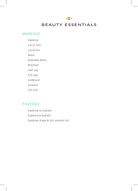### $\infty$

# BEAUTY ESSENTIALS

# WAXING

Eyebrow

Lip or Chin

Lip & Chin

Bikini

Extended Bikini

Brazilian

Half Leg

Full Leg

Underarm

Forearm

Full arm

# TINTING

Eyebrow or Eyelash Eyebrow & Eyelash Eyebrow shape & tint, eyelash tint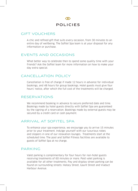

# GIFT VOUCHERS

A chic and refined gift that suits every occasion, from 30 minutes to an entire day of wellbeing. The Sofitel Spa team is at your disposal for any information or purchase.

# EVENTS AND OCCASIONS

What better way to celebrate then to spend some quality time with your friends? Ask the Sofitel team for more information on how to make your day extra special.

# CANCELLATION POLICY

Cancellation is free of charge if made 12 hours in advance for individual bookings, and 48 hours for group bookings. Hotel guests must give four hours' notice, after which the full cost of the treatments will be charged.

# RESERVATIONS

We recommend booking in advance to secure preferred date and time. Bookings made by hotel guests directly with Sofitel Spa are guaranteed by the signing of a reservation. Bookings made by external guests may be secured by a credit card or cash payment.

# ARRIVAL AT SOFITEL SPA

To enhance your spa experience, we encourage you to arrive 15 minutes prior to your treatment. Indulge yourself with our luxurious robes and slippers in one of our relaxation lounges. Treatments start at the scheduled time. The pool and Sofitel Fitness facilities are available to guests of Sofitel Spa at no charge.

### PARKING

Valet parking is complimentary for four hours for non-hotel guests receiving treatments of 60 minutes or more. Paid valet parking is available for all other treatments. Pay and display street parking can be found on surrounding streets: Halsey Street, Gaunt Street and Viaduct Harbour Avenue.